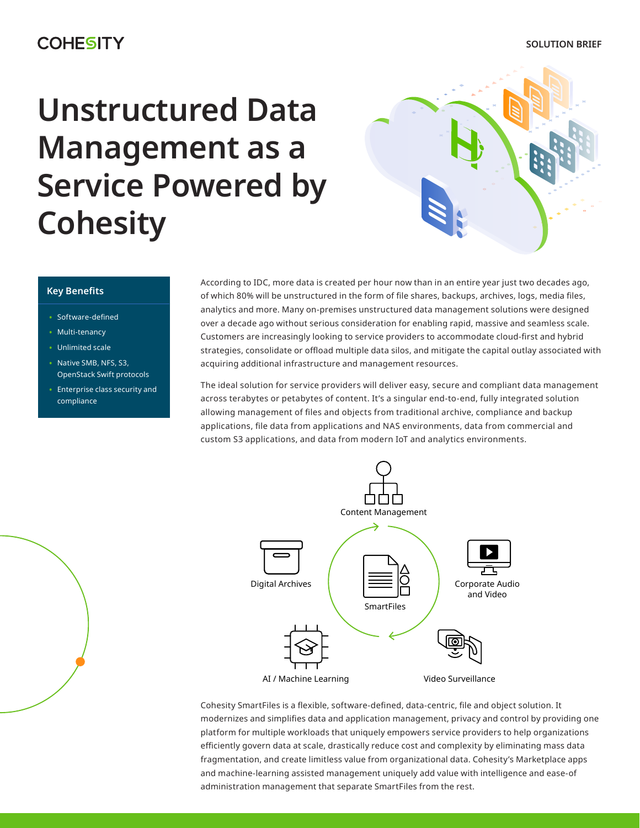# **Unstructured Data Management as a Service Powered by Cohesity**



### **Key Benefits**

- Software-defined
- Multi-tenancy
- Unlimited scale
- Native SMB, NFS, S3, OpenStack Swift protocols
- Enterprise class security and compliance

According to IDC, more data is created per hour now than in an entire year just two decades ago, of which 80% will be unstructured in the form of file shares, backups, archives, logs, media files, analytics and more. Many on-premises unstructured data management solutions were designed over a decade ago without serious consideration for enabling rapid, massive and seamless scale. Customers are increasingly looking to service providers to accommodate cloud-first and hybrid strategies, consolidate or offload multiple data silos, and mitigate the capital outlay associated with acquiring additional infrastructure and management resources.

The ideal solution for service providers will deliver easy, secure and compliant data management across terabytes or petabytes of content. It's a singular end-to-end, fully integrated solution allowing management of files and objects from traditional archive, compliance and backup applications, file data from applications and NAS environments, data from commercial and custom S3 applications, and data from modern IoT and analytics environments.



Cohesity SmartFiles is a flexible, software-defined, data-centric, file and object solution. It modernizes and simplifies data and application management, privacy and control by providing one platform for multiple workloads that uniquely empowers service providers to help organizations efficiently govern data at scale, drastically reduce cost and complexity by eliminating mass data fragmentation, and create limitless value from organizational data. Cohesity's Marketplace apps and machine-learning assisted management uniquely add value with intelligence and ease-of administration management that separate SmartFiles from the rest.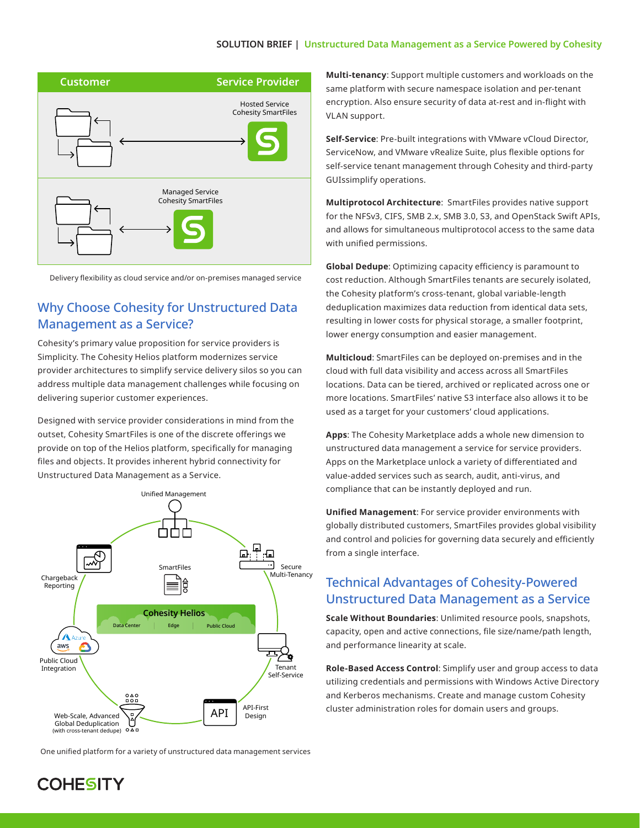

Delivery flexibility as cloud service and/or on-premises managed service

# Why Choose Cohesity for Unstructured Data Management as a Service?

Cohesity's primary value proposition for service providers is Simplicity. The Cohesity Helios platform modernizes service provider architectures to simplify service delivery silos so you can address multiple data management challenges while focusing on delivering superior customer experiences.

Designed with service provider considerations in mind from the outset, Cohesity SmartFiles is one of the discrete offerings we provide on top of the Helios platform, specifically for managing files and objects. It provides inherent hybrid connectivity for Unstructured Data Management as a Service.



One unified platform for a variety of unstructured data management services

**Multi-tenancy**: Support multiple customers and workloads on the same platform with secure namespace isolation and per-tenant encryption. Also ensure security of data at-rest and in-flight with VLAN support.

**Self-Service**: Pre-built integrations with VMware vCloud Director, ServiceNow, and VMware vRealize Suite, plus flexible options for self-service tenant management through Cohesity and third-party GUIssimplify operations.

**Multiprotocol Architecture**: SmartFiles provides native support for the NFSv3, CIFS, SMB 2.x, SMB 3.0, S3, and OpenStack Swift APIs, and allows for simultaneous multiprotocol access to the same data with unified permissions.

**Global Dedupe**: Optimizing capacity efficiency is paramount to cost reduction. Although SmartFiles tenants are securely isolated, the Cohesity platform's cross-tenant, global variable-length deduplication maximizes data reduction from identical data sets, resulting in lower costs for physical storage, a smaller footprint, lower energy consumption and easier management.

**Multicloud**: SmartFiles can be deployed on-premises and in the cloud with full data visibility and access across all SmartFiles locations. Data can be tiered, archived or replicated across one or more locations. SmartFiles' native S3 interface also allows it to be used as a target for your customers' cloud applications.

**Apps**: The Cohesity Marketplace adds a whole new dimension to unstructured data management a service for service providers. Apps on the Marketplace unlock a variety of differentiated and value-added services such as search, audit, anti-virus, and compliance that can be instantly deployed and run.

**Unified Management**: For service provider environments with globally distributed customers, SmartFiles provides global visibility and control and policies for governing data securely and efficiently from a single interface.

## Technical Advantages of Cohesity-Powered Unstructured Data Management as a Service

**Scale Without Boundaries**: Unlimited resource pools, snapshots, capacity, open and active connections, file size/name/path length, and performance linearity at scale.

**Role-Based Access Control**: Simplify user and group access to data utilizing credentials and permissions with Windows Active Directory and Kerberos mechanisms. Create and manage custom Cohesity cluster administration roles for domain users and groups.

# **COHESITY**